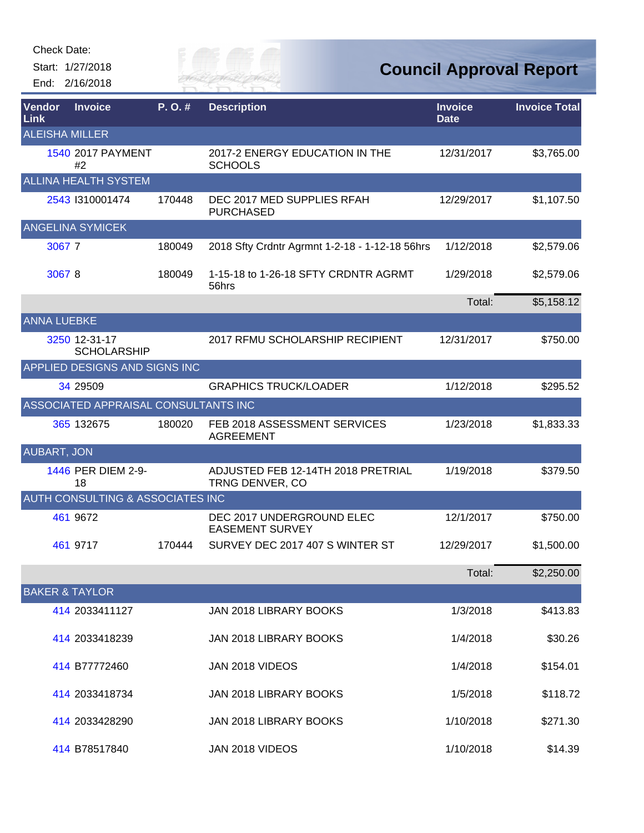Start: 1/27/2018 End: 2/16/2018



| Vendor<br>Link            | <b>Invoice</b>                              | P.O.#  | <b>Description</b>                                    | <b>Invoice</b><br><b>Date</b> | <b>Invoice Total</b> |
|---------------------------|---------------------------------------------|--------|-------------------------------------------------------|-------------------------------|----------------------|
| <b>ALEISHA MILLER</b>     |                                             |        |                                                       |                               |                      |
|                           | <b>1540 2017 PAYMENT</b><br>#2              |        | 2017-2 ENERGY EDUCATION IN THE<br><b>SCHOOLS</b>      | 12/31/2017                    | \$3,765.00           |
|                           | <b>ALLINA HEALTH SYSTEM</b>                 |        |                                                       |                               |                      |
|                           | 2543 1310001474                             | 170448 | DEC 2017 MED SUPPLIES RFAH<br><b>PURCHASED</b>        | 12/29/2017                    | \$1,107.50           |
|                           | <b>ANGELINA SYMICEK</b>                     |        |                                                       |                               |                      |
| 30677                     |                                             | 180049 | 2018 Sfty Crdntr Agrmnt 1-2-18 - 1-12-18 56hrs        | 1/12/2018                     | \$2,579.06           |
| 30678                     |                                             | 180049 | 1-15-18 to 1-26-18 SFTY CRDNTR AGRMT<br>56hrs         | 1/29/2018                     | \$2,579.06           |
|                           |                                             |        |                                                       | Total:                        | \$5,158.12           |
| <b>ANNA LUEBKE</b>        |                                             |        |                                                       |                               |                      |
|                           | 3250 12-31-17<br><b>SCHOLARSHIP</b>         |        | 2017 RFMU SCHOLARSHIP RECIPIENT                       | 12/31/2017                    | \$750.00             |
|                           | APPLIED DESIGNS AND SIGNS INC               |        |                                                       |                               |                      |
|                           | 34 29509                                    |        | <b>GRAPHICS TRUCK/LOADER</b>                          | 1/12/2018                     | \$295.52             |
|                           | ASSOCIATED APPRAISAL CONSULTANTS INC        |        |                                                       |                               |                      |
|                           | 365 132675                                  | 180020 | FEB 2018 ASSESSMENT SERVICES<br><b>AGREEMENT</b>      | 1/23/2018                     | \$1,833.33           |
| <b>AUBART, JON</b>        |                                             |        |                                                       |                               |                      |
|                           | 1446 PER DIEM 2-9-<br>18                    |        | ADJUSTED FEB 12-14TH 2018 PRETRIAL<br>TRNG DENVER, CO | 1/19/2018                     | \$379.50             |
|                           | <b>AUTH CONSULTING &amp; ASSOCIATES INC</b> |        |                                                       |                               |                      |
|                           | 461 9672                                    |        | DEC 2017 UNDERGROUND ELEC<br><b>EASEMENT SURVEY</b>   | 12/1/2017                     | \$750.00             |
|                           | 461 9717                                    | 170444 | SURVEY DEC 2017 407 S WINTER ST                       | 12/29/2017                    | \$1,500.00           |
|                           |                                             |        |                                                       | Total:                        | \$2,250.00           |
| <b>BAKER &amp; TAYLOR</b> |                                             |        |                                                       |                               |                      |
|                           | 414 2033411127                              |        | JAN 2018 LIBRARY BOOKS                                | 1/3/2018                      | \$413.83             |
|                           | 414 2033418239                              |        | JAN 2018 LIBRARY BOOKS                                | 1/4/2018                      | \$30.26              |
|                           | 414 B77772460                               |        | JAN 2018 VIDEOS                                       | 1/4/2018                      | \$154.01             |
|                           | 414 2033418734                              |        | JAN 2018 LIBRARY BOOKS                                | 1/5/2018                      | \$118.72             |
|                           | 414 2033428290                              |        | JAN 2018 LIBRARY BOOKS                                | 1/10/2018                     | \$271.30             |
|                           | 414 B78517840                               |        | JAN 2018 VIDEOS                                       | 1/10/2018                     | \$14.39              |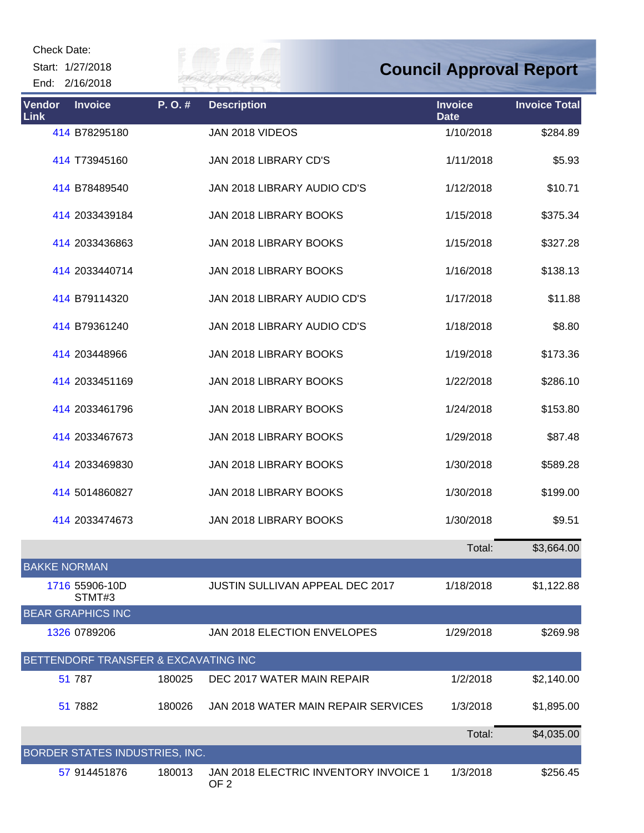Start: 1/27/2018 End: 2/16/2018



| Vendor<br>Link      | <b>Invoice</b>                       | P.O.#  | <b>Description</b>                                       | <b>Invoice</b><br><b>Date</b> | <b>Invoice Total</b> |
|---------------------|--------------------------------------|--------|----------------------------------------------------------|-------------------------------|----------------------|
|                     | 414 B78295180                        |        | JAN 2018 VIDEOS                                          | 1/10/2018                     | \$284.89             |
|                     | 414 T73945160                        |        | JAN 2018 LIBRARY CD'S                                    | 1/11/2018                     | \$5.93               |
|                     | 414 B78489540                        |        | JAN 2018 LIBRARY AUDIO CD'S                              | 1/12/2018                     | \$10.71              |
|                     | 414 2033439184                       |        | JAN 2018 LIBRARY BOOKS                                   | 1/15/2018                     | \$375.34             |
|                     | 414 2033436863                       |        | JAN 2018 LIBRARY BOOKS                                   | 1/15/2018                     | \$327.28             |
|                     | 414 2033440714                       |        | JAN 2018 LIBRARY BOOKS                                   | 1/16/2018                     | \$138.13             |
|                     | 414 B79114320                        |        | JAN 2018 LIBRARY AUDIO CD'S                              | 1/17/2018                     | \$11.88              |
|                     | 414 B79361240                        |        | JAN 2018 LIBRARY AUDIO CD'S                              | 1/18/2018                     | \$8.80               |
|                     | 414 203448966                        |        | JAN 2018 LIBRARY BOOKS                                   | 1/19/2018                     | \$173.36             |
|                     | 414 2033451169                       |        | JAN 2018 LIBRARY BOOKS                                   | 1/22/2018                     | \$286.10             |
|                     | 414 2033461796                       |        | JAN 2018 LIBRARY BOOKS                                   | 1/24/2018                     | \$153.80             |
|                     | 414 2033467673                       |        | JAN 2018 LIBRARY BOOKS                                   | 1/29/2018                     | \$87.48              |
|                     | 414 2033469830                       |        | JAN 2018 LIBRARY BOOKS                                   | 1/30/2018                     | \$589.28             |
|                     | 414 5014860827                       |        | JAN 2018 LIBRARY BOOKS                                   | 1/30/2018                     | \$199.00             |
|                     | 414 2033474673                       |        | JAN 2018 LIBRARY BOOKS                                   | 1/30/2018                     | \$9.51               |
|                     |                                      |        |                                                          | Total:                        | \$3,664.00           |
| <b>BAKKE NORMAN</b> |                                      |        |                                                          |                               |                      |
|                     | 1716 55906-10D<br>STMT#3             |        | <b>JUSTIN SULLIVAN APPEAL DEC 2017</b>                   | 1/18/2018                     | \$1,122.88           |
|                     | <b>BEAR GRAPHICS INC</b>             |        |                                                          |                               |                      |
|                     | 1326 0789206                         |        | <b>JAN 2018 ELECTION ENVELOPES</b>                       | 1/29/2018                     | \$269.98             |
|                     | BETTENDORF TRANSFER & EXCAVATING INC |        |                                                          |                               |                      |
|                     | 51 787                               | 180025 | DEC 2017 WATER MAIN REPAIR                               | 1/2/2018                      | \$2,140.00           |
|                     | 51 7882                              | 180026 | JAN 2018 WATER MAIN REPAIR SERVICES                      | 1/3/2018                      | \$1,895.00           |
|                     |                                      |        |                                                          | Total:                        | \$4,035.00           |
|                     | BORDER STATES INDUSTRIES, INC.       |        |                                                          |                               |                      |
|                     | 57 914451876                         | 180013 | JAN 2018 ELECTRIC INVENTORY INVOICE 1<br>OF <sub>2</sub> | 1/3/2018                      | \$256.45             |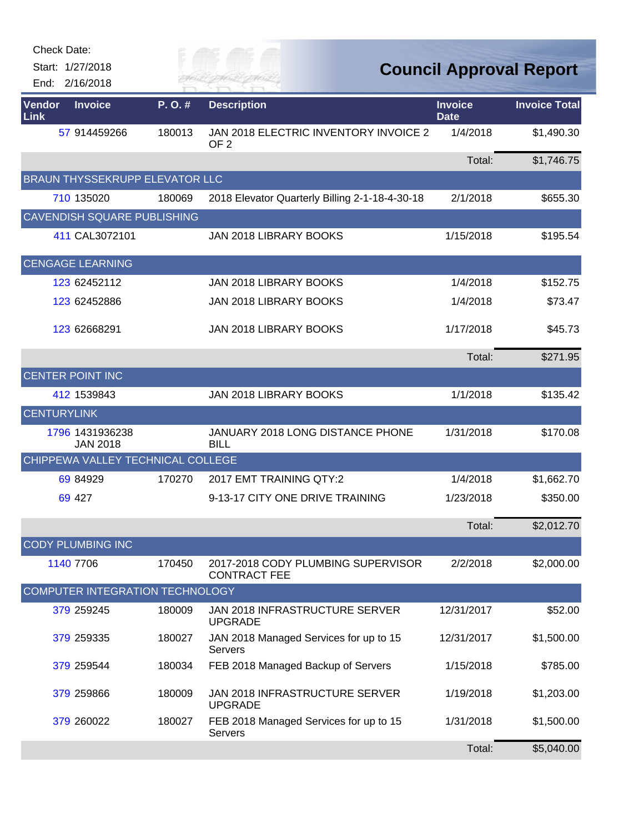| Check Date:        |                                       |        |                                                           |                               |                                |
|--------------------|---------------------------------------|--------|-----------------------------------------------------------|-------------------------------|--------------------------------|
|                    | Start: 1/27/2018                      |        |                                                           |                               | <b>Council Approval Report</b> |
|                    | End: 2/16/2018                        |        |                                                           |                               |                                |
| Vendor<br>Link     | <b>Invoice</b>                        | P.O.#  | <b>Description</b>                                        | <b>Invoice</b><br><b>Date</b> | <b>Invoice Total</b>           |
|                    | 57 914459266                          | 180013 | JAN 2018 ELECTRIC INVENTORY INVOICE 2<br>OF <sub>2</sub>  | 1/4/2018                      | \$1,490.30                     |
|                    |                                       |        |                                                           | Total:                        | \$1,746.75                     |
|                    | <b>BRAUN THYSSEKRUPP ELEVATOR LLC</b> |        |                                                           |                               |                                |
|                    | 710 135020                            | 180069 | 2018 Elevator Quarterly Billing 2-1-18-4-30-18            | 2/1/2018                      | \$655.30                       |
|                    | <b>CAVENDISH SQUARE PUBLISHING</b>    |        |                                                           |                               |                                |
|                    | 411 CAL3072101                        |        | JAN 2018 LIBRARY BOOKS                                    | 1/15/2018                     | \$195.54                       |
|                    | <b>CENGAGE LEARNING</b>               |        |                                                           |                               |                                |
|                    | 123 62452112                          |        | JAN 2018 LIBRARY BOOKS                                    | 1/4/2018                      | \$152.75                       |
|                    | 123 62452886                          |        | JAN 2018 LIBRARY BOOKS                                    | 1/4/2018                      | \$73.47                        |
|                    | 123 62668291                          |        | JAN 2018 LIBRARY BOOKS                                    | 1/17/2018                     | \$45.73                        |
|                    |                                       |        |                                                           | Total:                        | \$271.95                       |
|                    | <b>CENTER POINT INC</b>               |        |                                                           |                               |                                |
|                    | 412 1539843                           |        | JAN 2018 LIBRARY BOOKS                                    | 1/1/2018                      | \$135.42                       |
| <b>CENTURYLINK</b> |                                       |        |                                                           |                               |                                |
|                    | 1796 1431936238<br><b>JAN 2018</b>    |        | JANUARY 2018 LONG DISTANCE PHONE<br><b>BILL</b>           | 1/31/2018                     | \$170.08                       |
|                    | CHIPPEWA VALLEY TECHNICAL COLLEGE     |        |                                                           |                               |                                |
|                    | 69 84929                              | 170270 | 2017 EMT TRAINING QTY:2                                   | 1/4/2018                      | \$1,662.70                     |
|                    | 69 427                                |        | 9-13-17 CITY ONE DRIVE TRAINING                           | 1/23/2018                     | \$350.00                       |
|                    |                                       |        |                                                           | Total:                        | \$2,012.70                     |
|                    | <b>CODY PLUMBING INC</b>              |        |                                                           |                               |                                |
|                    | 1140 7706                             | 170450 | 2017-2018 CODY PLUMBING SUPERVISOR<br><b>CONTRACT FEE</b> | 2/2/2018                      | \$2,000.00                     |
|                    | COMPUTER INTEGRATION TECHNOLOGY       |        |                                                           |                               |                                |
|                    | 379 259245                            | 180009 | JAN 2018 INFRASTRUCTURE SERVER<br><b>UPGRADE</b>          | 12/31/2017                    | \$52.00                        |
|                    | 379 259335                            | 180027 | JAN 2018 Managed Services for up to 15<br>Servers         | 12/31/2017                    | \$1,500.00                     |
|                    | 379 259544                            | 180034 | FEB 2018 Managed Backup of Servers                        | 1/15/2018                     | \$785.00                       |
|                    | 379 259866                            | 180009 | <b>JAN 2018 INFRASTRUCTURE SERVER</b><br><b>UPGRADE</b>   | 1/19/2018                     | \$1,203.00                     |
|                    | 379 260022                            | 180027 | FEB 2018 Managed Services for up to 15<br><b>Servers</b>  | 1/31/2018                     | \$1,500.00                     |
|                    |                                       |        |                                                           | Total:                        | \$5,040.00                     |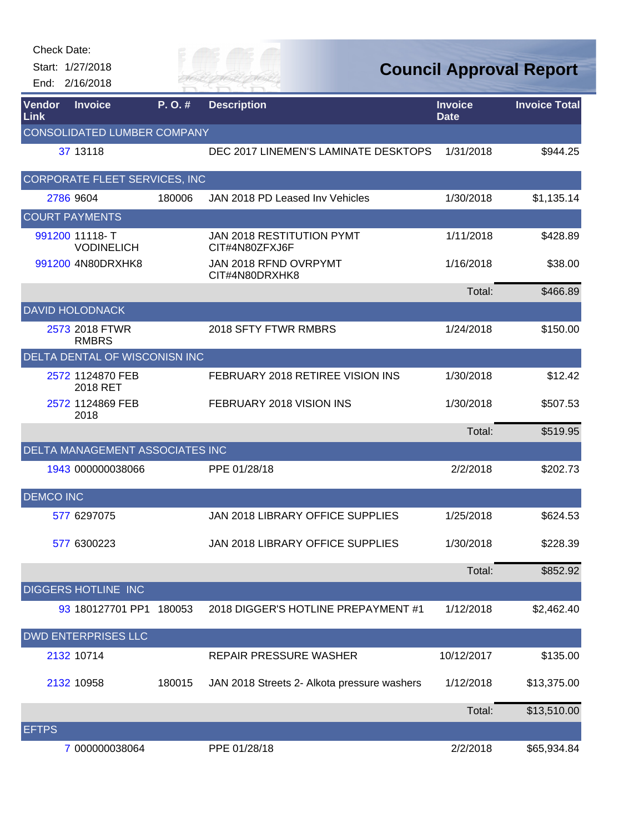| <b>Check Date:</b>    | Start: 1/27/2018<br>End: 2/16/2018   |        | FR MAI                                             |                               | <b>Council Approval Report</b> |
|-----------------------|--------------------------------------|--------|----------------------------------------------------|-------------------------------|--------------------------------|
| <b>Vendor</b><br>Link | <b>Invoice</b>                       | P.O.#  | <b>Description</b>                                 | <b>Invoice</b><br><b>Date</b> | <b>Invoice Total</b>           |
|                       | CONSOLIDATED LUMBER COMPANY          |        |                                                    |                               |                                |
|                       | 37 13118                             |        | DEC 2017 LINEMEN'S LAMINATE DESKTOPS               | 1/31/2018                     | \$944.25                       |
|                       | <b>CORPORATE FLEET SERVICES, INC</b> |        |                                                    |                               |                                |
|                       | 2786 9604                            | 180006 | JAN 2018 PD Leased Inv Vehicles                    | 1/30/2018                     | \$1,135.14                     |
|                       | <b>COURT PAYMENTS</b>                |        |                                                    |                               |                                |
|                       | 991200 11118-T<br><b>VODINELICH</b>  |        | <b>JAN 2018 RESTITUTION PYMT</b><br>CIT#4N80ZFXJ6F | 1/11/2018                     | \$428.89                       |
|                       | 991200 4N80DRXHK8                    |        | JAN 2018 RFND OVRPYMT<br>CIT#4N80DRXHK8            | 1/16/2018                     | \$38.00                        |
|                       |                                      |        |                                                    | Total:                        | \$466.89                       |
|                       | <b>DAVID HOLODNACK</b>               |        |                                                    |                               |                                |
|                       | 2573 2018 FTWR<br><b>RMBRS</b>       |        | 2018 SFTY FTWR RMBRS                               | 1/24/2018                     | \$150.00                       |
|                       | DELTA DENTAL OF WISCONISN INC        |        |                                                    |                               |                                |
|                       | 2572 1124870 FEB<br>2018 RET         |        | FEBRUARY 2018 RETIREE VISION INS                   | 1/30/2018                     | \$12.42                        |
|                       | 2572 1124869 FEB<br>2018             |        | FEBRUARY 2018 VISION INS                           | 1/30/2018                     | \$507.53                       |
|                       |                                      |        |                                                    | Total:                        | \$519.95                       |
|                       | DELTA MANAGEMENT ASSOCIATES INC      |        |                                                    |                               |                                |
|                       | 1943 000000038066                    |        | PPE 01/28/18                                       | 2/2/2018                      | \$202.73                       |
| <b>DEMCO INC</b>      |                                      |        |                                                    |                               |                                |
|                       | 577 6297075                          |        | JAN 2018 LIBRARY OFFICE SUPPLIES                   | 1/25/2018                     | \$624.53                       |
|                       | 577 6300223                          |        | JAN 2018 LIBRARY OFFICE SUPPLIES                   | 1/30/2018                     | \$228.39                       |
|                       |                                      |        |                                                    | Total:                        | \$852.92                       |
|                       | <b>DIGGERS HOTLINE INC</b>           |        |                                                    |                               |                                |
|                       | 93 180127701 PP1 180053              |        | 2018 DIGGER'S HOTLINE PREPAYMENT #1                | 1/12/2018                     | \$2,462.40                     |
|                       | <b>DWD ENTERPRISES LLC</b>           |        |                                                    |                               |                                |
|                       | 2132 10714                           |        | REPAIR PRESSURE WASHER                             | 10/12/2017                    | \$135.00                       |
|                       | 2132 10958                           | 180015 | JAN 2018 Streets 2- Alkota pressure washers        | 1/12/2018                     | \$13,375.00                    |
|                       |                                      |        |                                                    | Total:                        | \$13,510.00                    |
| <b>EFTPS</b>          |                                      |        |                                                    |                               |                                |
|                       | 7 000000038064                       |        | PPE 01/28/18                                       | 2/2/2018                      | \$65,934.84                    |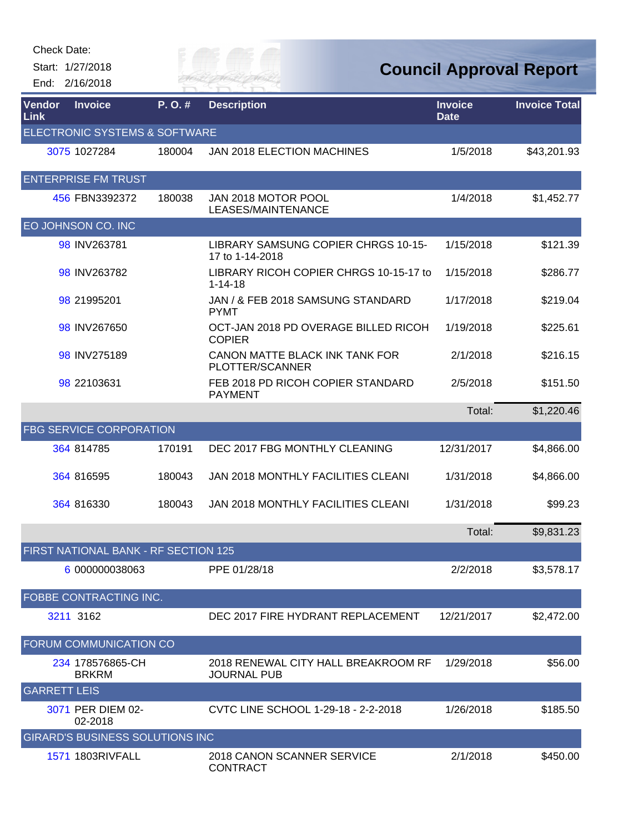Start: 1/27/2018 End: 2/16/2018 *City of* 

**Council Approval Report**

| <b>Vendor</b><br>Link | <b>Invoice</b>                         | P.O.#  | <b>Description</b>                                        | <b>Invoice</b><br><b>Date</b> | <b>Invoice Total</b> |
|-----------------------|----------------------------------------|--------|-----------------------------------------------------------|-------------------------------|----------------------|
|                       | ELECTRONIC SYSTEMS & SOFTWARE          |        |                                                           |                               |                      |
|                       | 3075 1027284                           | 180004 | <b>JAN 2018 ELECTION MACHINES</b>                         | 1/5/2018                      | \$43,201.93          |
|                       | <b>ENTERPRISE FM TRUST</b>             |        |                                                           |                               |                      |
|                       | 456 FBN3392372                         | 180038 | JAN 2018 MOTOR POOL<br>LEASES/MAINTENANCE                 | 1/4/2018                      | \$1,452.77           |
|                       | EO JOHNSON CO. INC                     |        |                                                           |                               |                      |
|                       | 98 INV263781                           |        | LIBRARY SAMSUNG COPIER CHRGS 10-15-<br>17 to 1-14-2018    | 1/15/2018                     | \$121.39             |
|                       | 98 INV263782                           |        | LIBRARY RICOH COPIER CHRGS 10-15-17 to<br>$1 - 14 - 18$   | 1/15/2018                     | \$286.77             |
|                       | 98 21995201                            |        | JAN / & FEB 2018 SAMSUNG STANDARD<br><b>PYMT</b>          | 1/17/2018                     | \$219.04             |
|                       | 98 INV267650                           |        | OCT-JAN 2018 PD OVERAGE BILLED RICOH<br><b>COPIER</b>     | 1/19/2018                     | \$225.61             |
|                       | 98 INV275189                           |        | CANON MATTE BLACK INK TANK FOR<br>PLOTTER/SCANNER         | 2/1/2018                      | \$216.15             |
|                       | 98 22103631                            |        | FEB 2018 PD RICOH COPIER STANDARD<br><b>PAYMENT</b>       | 2/5/2018                      | \$151.50             |
|                       |                                        |        |                                                           | Total:                        | \$1,220.46           |
|                       | <b>FBG SERVICE CORPORATION</b>         |        |                                                           |                               |                      |
|                       | 364 814785                             | 170191 | DEC 2017 FBG MONTHLY CLEANING                             | 12/31/2017                    | \$4,866.00           |
|                       | 364 816595                             | 180043 | JAN 2018 MONTHLY FACILITIES CLEANI                        | 1/31/2018                     | \$4,866.00           |
|                       | 364 816330                             | 180043 | JAN 2018 MONTHLY FACILITIES CLEANI                        | 1/31/2018                     | \$99.23              |
|                       |                                        |        |                                                           | Total:                        | \$9,831.23           |
|                       | FIRST NATIONAL BANK - RF SECTION 125   |        |                                                           |                               |                      |
|                       | 6 000000038063                         |        | PPE 01/28/18                                              | 2/2/2018                      | \$3,578.17           |
|                       | <b>FOBBE CONTRACTING INC.</b>          |        |                                                           |                               |                      |
|                       | 3211 3162                              |        | DEC 2017 FIRE HYDRANT REPLACEMENT                         | 12/21/2017                    | \$2,472.00           |
|                       | <b>FORUM COMMUNICATION CO</b>          |        |                                                           |                               |                      |
|                       | 234 178576865-CH<br><b>BRKRM</b>       |        | 2018 RENEWAL CITY HALL BREAKROOM RF<br><b>JOURNAL PUB</b> | 1/29/2018                     | \$56.00              |
| <b>GARRETT LEIS</b>   |                                        |        |                                                           |                               |                      |
|                       | 3071 PER DIEM 02-<br>02-2018           |        | CVTC LINE SCHOOL 1-29-18 - 2-2-2018                       | 1/26/2018                     | \$185.50             |
|                       | <b>GIRARD'S BUSINESS SOLUTIONS INC</b> |        |                                                           |                               |                      |
|                       | 1571 1803RIVFALL                       |        | 2018 CANON SCANNER SERVICE<br><b>CONTRACT</b>             | 2/1/2018                      | \$450.00             |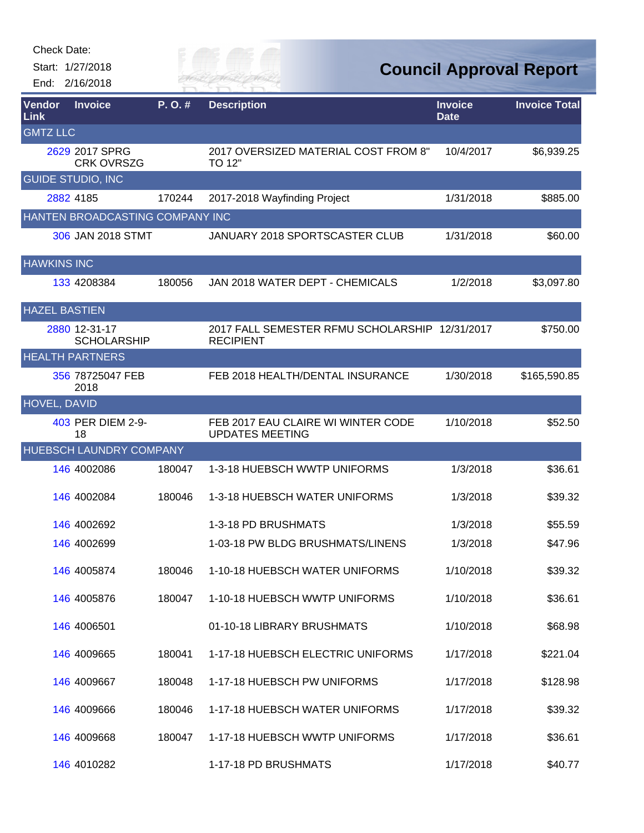| Check Date:          | Start: 1/27/2018                    |        | U OF F                                                             |                               | <b>Council Approval Report</b> |
|----------------------|-------------------------------------|--------|--------------------------------------------------------------------|-------------------------------|--------------------------------|
|                      | End: 2/16/2018                      |        | ER HAI                                                             |                               |                                |
| Vendor<br>Link       | <b>Invoice</b>                      | P.O.#  | <b>Description</b>                                                 | <b>Invoice</b><br><b>Date</b> | <b>Invoice Total</b>           |
| <b>GMTZ LLC</b>      | 2629 2017 SPRG<br><b>CRK OVRSZG</b> |        | 2017 OVERSIZED MATERIAL COST FROM 8"<br>TO 12"                     | 10/4/2017                     | \$6,939.25                     |
|                      | <b>GUIDE STUDIO, INC</b>            |        |                                                                    |                               |                                |
|                      | 2882 4185                           | 170244 | 2017-2018 Wayfinding Project                                       | 1/31/2018                     | \$885.00                       |
|                      | HANTEN BROADCASTING COMPANY INC     |        |                                                                    |                               |                                |
|                      | 306 JAN 2018 STMT                   |        | JANUARY 2018 SPORTSCASTER CLUB                                     | 1/31/2018                     | \$60.00                        |
| <b>HAWKINS INC</b>   |                                     |        |                                                                    |                               |                                |
|                      | 133 4208384                         | 180056 | JAN 2018 WATER DEPT - CHEMICALS                                    | 1/2/2018                      | \$3,097.80                     |
| <b>HAZEL BASTIEN</b> |                                     |        |                                                                    |                               |                                |
|                      | 2880 12-31-17<br><b>SCHOLARSHIP</b> |        | 2017 FALL SEMESTER RFMU SCHOLARSHIP 12/31/2017<br><b>RECIPIENT</b> |                               | \$750.00                       |
|                      | <b>HEALTH PARTNERS</b>              |        |                                                                    |                               |                                |
|                      | 356 78725047 FEB<br>2018            |        | FEB 2018 HEALTH/DENTAL INSURANCE                                   | 1/30/2018                     | \$165,590.85                   |
| <b>HOVEL, DAVID</b>  |                                     |        |                                                                    |                               |                                |
|                      | 403 PER DIEM 2-9-<br>18             |        | FEB 2017 EAU CLAIRE WI WINTER CODE<br><b>UPDATES MEETING</b>       | 1/10/2018                     | \$52.50                        |
|                      | HUEBSCH LAUNDRY COMPANY             |        |                                                                    |                               |                                |
|                      | 146 4002086                         | 180047 | 1-3-18 HUEBSCH WWTP UNIFORMS                                       | 1/3/2018                      | \$36.61                        |
|                      | 146 4002084                         | 180046 | 1-3-18 HUEBSCH WATER UNIFORMS                                      | 1/3/2018                      | \$39.32                        |
|                      | 146 4002692                         |        | 1-3-18 PD BRUSHMATS                                                | 1/3/2018                      | \$55.59                        |
|                      | 146 4002699                         |        | 1-03-18 PW BLDG BRUSHMATS/LINENS                                   | 1/3/2018                      | \$47.96                        |
|                      | 146 4005874                         | 180046 | 1-10-18 HUEBSCH WATER UNIFORMS                                     | 1/10/2018                     | \$39.32                        |
|                      | 146 4005876                         | 180047 | 1-10-18 HUEBSCH WWTP UNIFORMS                                      | 1/10/2018                     | \$36.61                        |
|                      | 146 4006501                         |        | 01-10-18 LIBRARY BRUSHMATS                                         | 1/10/2018                     | \$68.98                        |
|                      | 146 4009665                         | 180041 | 1-17-18 HUEBSCH ELECTRIC UNIFORMS                                  | 1/17/2018                     | \$221.04                       |
|                      | 146 4009667                         | 180048 | 1-17-18 HUEBSCH PW UNIFORMS                                        | 1/17/2018                     | \$128.98                       |
|                      | 146 4009666                         | 180046 | 1-17-18 HUEBSCH WATER UNIFORMS                                     | 1/17/2018                     | \$39.32                        |
|                      | 146 4009668                         | 180047 | 1-17-18 HUEBSCH WWTP UNIFORMS                                      | 1/17/2018                     | \$36.61                        |
|                      | 146 4010282                         |        | 1-17-18 PD BRUSHMATS                                               | 1/17/2018                     | \$40.77                        |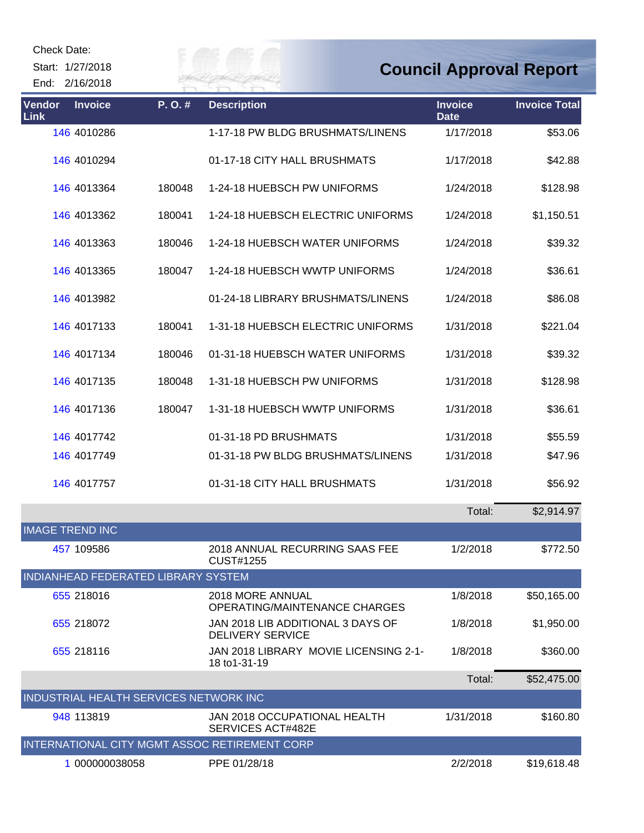Start: 1/27/2018 End: 2/16/2018

# Eily of

| Vendor<br>Link | <b>Invoice</b>                         | P.O.#  | <b>Description</b>                                           | <b>Invoice</b><br><b>Date</b> | <b>Invoice Total</b> |
|----------------|----------------------------------------|--------|--------------------------------------------------------------|-------------------------------|----------------------|
|                | 146 4010286                            |        | 1-17-18 PW BLDG BRUSHMATS/LINENS                             | 1/17/2018                     | \$53.06              |
|                | 146 4010294                            |        | 01-17-18 CITY HALL BRUSHMATS                                 | 1/17/2018                     | \$42.88              |
|                | 146 4013364                            | 180048 | 1-24-18 HUEBSCH PW UNIFORMS                                  | 1/24/2018                     | \$128.98             |
|                | 146 4013362                            | 180041 | 1-24-18 HUEBSCH ELECTRIC UNIFORMS                            | 1/24/2018                     | \$1,150.51           |
|                | 146 4013363                            | 180046 | 1-24-18 HUEBSCH WATER UNIFORMS                               | 1/24/2018                     | \$39.32              |
|                | 146 4013365                            | 180047 | 1-24-18 HUEBSCH WWTP UNIFORMS                                | 1/24/2018                     | \$36.61              |
|                | 146 4013982                            |        | 01-24-18 LIBRARY BRUSHMATS/LINENS                            | 1/24/2018                     | \$86.08              |
|                | 146 4017133                            | 180041 | 1-31-18 HUEBSCH ELECTRIC UNIFORMS                            | 1/31/2018                     | \$221.04             |
|                | 146 4017134                            | 180046 | 01-31-18 HUEBSCH WATER UNIFORMS                              | 1/31/2018                     | \$39.32              |
|                | 146 4017135                            | 180048 | 1-31-18 HUEBSCH PW UNIFORMS                                  | 1/31/2018                     | \$128.98             |
|                | 146 4017136                            | 180047 | 1-31-18 HUEBSCH WWTP UNIFORMS                                | 1/31/2018                     | \$36.61              |
|                | 146 4017742                            |        | 01-31-18 PD BRUSHMATS                                        | 1/31/2018                     | \$55.59              |
|                | 146 4017749                            |        | 01-31-18 PW BLDG BRUSHMATS/LINENS                            | 1/31/2018                     | \$47.96              |
|                | 146 4017757                            |        | 01-31-18 CITY HALL BRUSHMATS                                 | 1/31/2018                     | \$56.92              |
|                |                                        |        |                                                              | Total:                        | \$2,914.97           |
|                | <b>IMAGE TREND INC</b>                 |        |                                                              |                               |                      |
|                | 457 109586                             |        | 2018 ANNUAL RECURRING SAAS FEE<br>CUST#1255                  | 1/2/2018                      | \$772.50             |
|                | INDIANHEAD FEDERATED LIBRARY SYSTEM    |        |                                                              |                               |                      |
|                | 655 218016                             |        | 2018 MORE ANNUAL<br>OPERATING/MAINTENANCE CHARGES            | 1/8/2018                      | \$50,165.00          |
|                | 655 218072                             |        | JAN 2018 LIB ADDITIONAL 3 DAYS OF<br><b>DELIVERY SERVICE</b> | 1/8/2018                      | \$1,950.00           |
|                | 655 218116                             |        | JAN 2018 LIBRARY MOVIE LICENSING 2-1-<br>18 to 1-31-19       | 1/8/2018                      | \$360.00             |
|                |                                        |        |                                                              | Total:                        | \$52,475.00          |
|                | INDUSTRIAL HEALTH SERVICES NETWORK INC |        |                                                              |                               |                      |
|                | 948 113819                             |        | JAN 2018 OCCUPATIONAL HEALTH<br>SERVICES ACT#482E            | 1/31/2018                     | \$160.80             |
|                |                                        |        | INTERNATIONAL CITY MGMT ASSOC RETIREMENT CORP                |                               |                      |
|                | 1 000000038058                         |        | PPE 01/28/18                                                 | 2/2/2018                      | \$19,618.48          |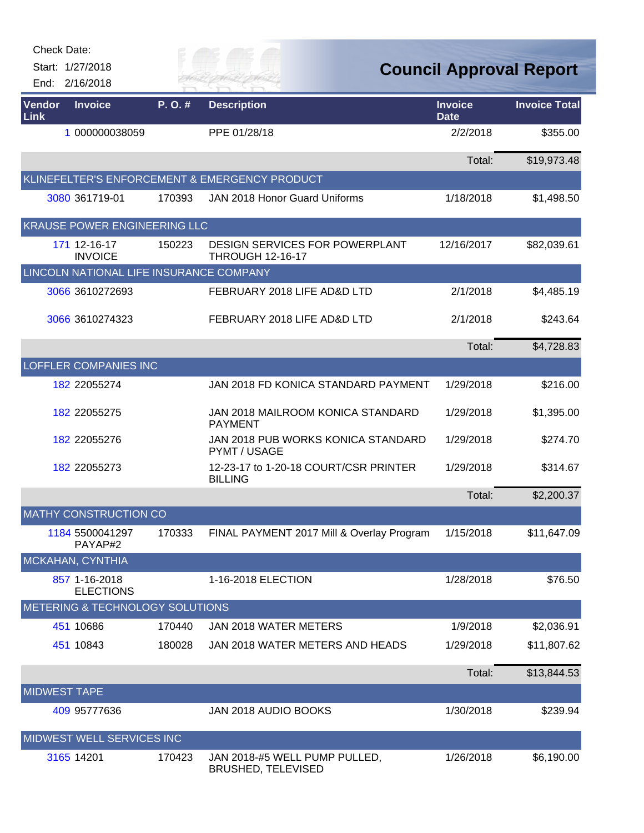| <b>Check Date:</b>  |                                         |        |                                                                  |                               |                                |
|---------------------|-----------------------------------------|--------|------------------------------------------------------------------|-------------------------------|--------------------------------|
|                     | Start: 1/27/2018                        |        |                                                                  |                               | <b>Council Approval Report</b> |
|                     | End: 2/16/2018                          |        |                                                                  |                               |                                |
| Vendor<br>Link      | <b>Invoice</b>                          | P.O.#  | <b>Description</b>                                               | <b>Invoice</b><br><b>Date</b> | <b>Invoice Total</b>           |
|                     | 1 000000038059                          |        | PPE 01/28/18                                                     | 2/2/2018                      | \$355.00                       |
|                     |                                         |        |                                                                  | Total:                        | \$19,973.48                    |
|                     |                                         |        | KLINEFELTER'S ENFORCEMENT & EMERGENCY PRODUCT                    |                               |                                |
|                     | 3080 361719-01                          | 170393 | <b>JAN 2018 Honor Guard Uniforms</b>                             | 1/18/2018                     | \$1,498.50                     |
|                     | KRAUSE POWER ENGINEERING LLC            |        |                                                                  |                               |                                |
|                     | 171 12-16-17<br><b>INVOICE</b>          | 150223 | <b>DESIGN SERVICES FOR POWERPLANT</b><br><b>THROUGH 12-16-17</b> | 12/16/2017                    | \$82,039.61                    |
|                     | LINCOLN NATIONAL LIFE INSURANCE COMPANY |        |                                                                  |                               |                                |
|                     | 3066 3610272693                         |        | FEBRUARY 2018 LIFE AD&D LTD                                      | 2/1/2018                      | \$4,485.19                     |
|                     | 3066 3610274323                         |        | FEBRUARY 2018 LIFE AD&D LTD                                      | 2/1/2018                      | \$243.64                       |
|                     |                                         |        |                                                                  | Total:                        | \$4,728.83                     |
|                     | <b>LOFFLER COMPANIES INC</b>            |        |                                                                  |                               |                                |
|                     | 182 22055274                            |        | JAN 2018 FD KONICA STANDARD PAYMENT                              | 1/29/2018                     | \$216.00                       |
|                     | 182 22055275                            |        | JAN 2018 MAILROOM KONICA STANDARD<br><b>PAYMENT</b>              | 1/29/2018                     | \$1,395.00                     |
|                     | 182 22055276                            |        | JAN 2018 PUB WORKS KONICA STANDARD<br>PYMT / USAGE               | 1/29/2018                     | \$274.70                       |
|                     | 182 22055273                            |        | 12-23-17 to 1-20-18 COURT/CSR PRINTER<br><b>BILLING</b>          | 1/29/2018                     | \$314.67                       |
|                     |                                         |        |                                                                  | Total:                        | \$2,200.37                     |
|                     | <b>MATHY CONSTRUCTION CO</b>            |        |                                                                  |                               |                                |
|                     | 1184 5500041297<br>PAYAP#2              | 170333 | FINAL PAYMENT 2017 Mill & Overlay Program                        | 1/15/2018                     | \$11,647.09                    |
|                     | MCKAHAN, CYNTHIA                        |        |                                                                  |                               |                                |
|                     | 857 1-16-2018<br><b>ELECTIONS</b>       |        | 1-16-2018 ELECTION                                               | 1/28/2018                     | \$76.50                        |
|                     | METERING & TECHNOLOGY SOLUTIONS         |        |                                                                  |                               |                                |
|                     | 451 10686                               | 170440 | JAN 2018 WATER METERS                                            | 1/9/2018                      | \$2,036.91                     |
|                     | 451 10843                               | 180028 | JAN 2018 WATER METERS AND HEADS                                  | 1/29/2018                     | \$11,807.62                    |
|                     |                                         |        |                                                                  | Total:                        | \$13,844.53                    |
| <b>MIDWEST TAPE</b> |                                         |        |                                                                  |                               |                                |
|                     | 409 95777636                            |        | JAN 2018 AUDIO BOOKS                                             | 1/30/2018                     | \$239.94                       |
|                     | MIDWEST WELL SERVICES INC               |        |                                                                  |                               |                                |
|                     | 3165 14201                              | 170423 | JAN 2018-#5 WELL PUMP PULLED,<br><b>BRUSHED, TELEVISED</b>       | 1/26/2018                     | \$6,190.00                     |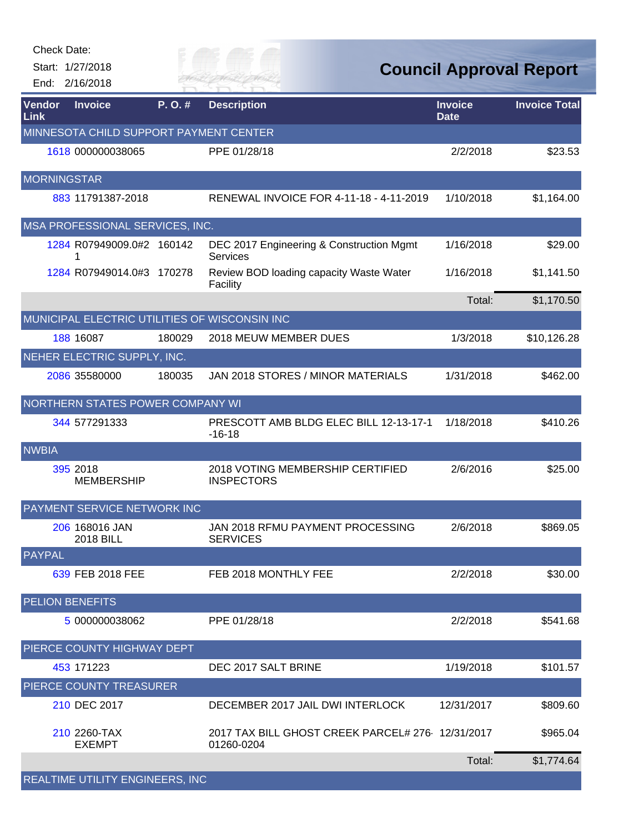|                | Check Date:<br>Start: 1/27/2018<br>End: 2/16/2018 |        | ER FAI                                                         |                               | <b>Council Approval Report</b> |
|----------------|---------------------------------------------------|--------|----------------------------------------------------------------|-------------------------------|--------------------------------|
| Vendor<br>Link | <b>Invoice</b>                                    | P.O.#  | <b>Description</b>                                             | <b>Invoice</b><br><b>Date</b> | <b>Invoice Total</b>           |
|                | MINNESOTA CHILD SUPPORT PAYMENT CENTER            |        |                                                                |                               |                                |
|                | 1618 000000038065                                 |        | PPE 01/28/18                                                   | 2/2/2018                      | \$23.53                        |
|                | <b>MORNINGSTAR</b>                                |        |                                                                |                               |                                |
|                | 883 11791387-2018                                 |        | RENEWAL INVOICE FOR 4-11-18 - 4-11-2019                        | 1/10/2018                     | \$1,164.00                     |
|                | MSA PROFESSIONAL SERVICES, INC.                   |        |                                                                |                               |                                |
|                | 1284 R07949009.0#2 160142                         |        | DEC 2017 Engineering & Construction Mgmt<br><b>Services</b>    | 1/16/2018                     | \$29.00                        |
|                | 1284 R07949014.0#3 170278                         |        | Review BOD loading capacity Waste Water<br>Facility            | 1/16/2018                     | \$1,141.50                     |
|                |                                                   |        |                                                                | Total:                        | \$1,170.50                     |
|                | MUNICIPAL ELECTRIC UTILITIES OF WISCONSIN INC     |        |                                                                |                               |                                |
|                | 188 16087                                         | 180029 | 2018 MEUW MEMBER DUES                                          | 1/3/2018                      | \$10,126.28                    |
|                | NEHER ELECTRIC SUPPLY, INC.                       |        |                                                                |                               |                                |
|                | 2086 35580000                                     | 180035 | JAN 2018 STORES / MINOR MATERIALS                              | 1/31/2018                     | \$462.00                       |
|                | NORTHERN STATES POWER COMPANY WI                  |        |                                                                |                               |                                |
|                | 344 577291333                                     |        | PRESCOTT AMB BLDG ELEC BILL 12-13-17-1<br>$-16-18$             | 1/18/2018                     | \$410.26                       |
| <b>NWBIA</b>   |                                                   |        |                                                                |                               |                                |
|                | 395 2018<br><b>MEMBERSHIP</b>                     |        | 2018 VOTING MEMBERSHIP CERTIFIED<br><b>INSPECTORS</b>          | 2/6/2016                      | \$25.00                        |
|                | PAYMENT SERVICE NETWORK INC                       |        |                                                                |                               |                                |
|                | 206 168016 JAN<br>2018 BILL                       |        | JAN 2018 RFMU PAYMENT PROCESSING<br><b>SERVICES</b>            | 2/6/2018                      | \$869.05                       |
| <b>PAYPAL</b>  |                                                   |        |                                                                |                               |                                |
|                | 639 FEB 2018 FEE                                  |        | FEB 2018 MONTHLY FEE                                           | 2/2/2018                      | \$30.00                        |
|                | <b>PELION BENEFITS</b>                            |        |                                                                |                               |                                |
|                | 5 000000038062                                    |        | PPE 01/28/18                                                   | 2/2/2018                      | \$541.68                       |
|                | PIERCE COUNTY HIGHWAY DEPT                        |        |                                                                |                               |                                |
|                | 453 171223                                        |        | DEC 2017 SALT BRINE                                            | 1/19/2018                     | \$101.57                       |
|                | PIERCE COUNTY TREASURER                           |        |                                                                |                               |                                |
|                | 210 DEC 2017                                      |        | DECEMBER 2017 JAIL DWI INTERLOCK                               | 12/31/2017                    | \$809.60                       |
|                | 210 2260-TAX<br><b>EXEMPT</b>                     |        | 2017 TAX BILL GHOST CREEK PARCEL# 276 12/31/2017<br>01260-0204 |                               | \$965.04                       |
|                |                                                   |        |                                                                | Total:                        | \$1,774.64                     |
|                | REALTIME UTILITY ENGINEERS, INC                   |        |                                                                |                               |                                |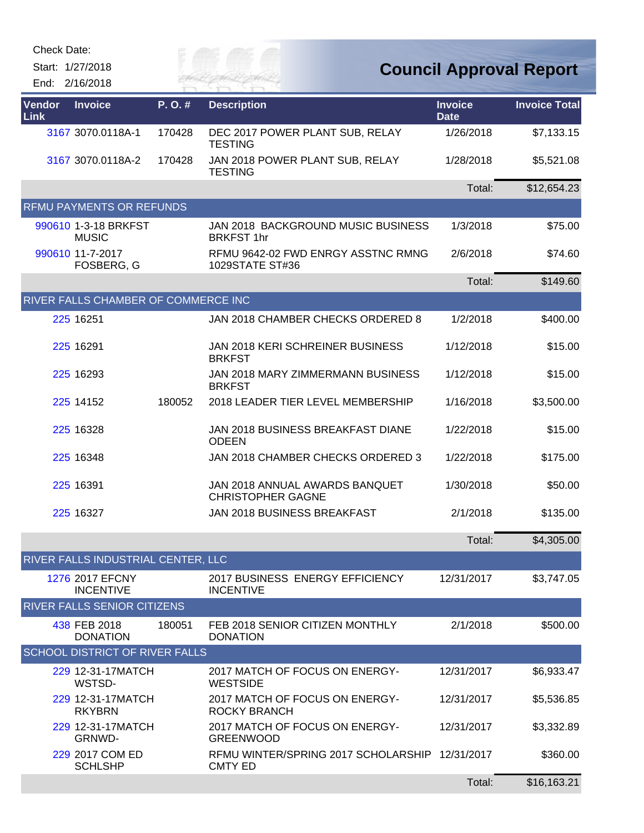Start: 1/27/2018 End: 2/16/2018 *Cuy of* 

**Council Approval Report**

| <b>Vendor</b><br>Link | <b>Invoice</b>                       | P.O.#  | <b>Description</b>                                               | <b>Invoice</b><br><b>Date</b> | <b>Invoice Total</b> |
|-----------------------|--------------------------------------|--------|------------------------------------------------------------------|-------------------------------|----------------------|
|                       | 3167 3070.0118A-1                    | 170428 | DEC 2017 POWER PLANT SUB, RELAY<br><b>TESTING</b>                | 1/26/2018                     | \$7,133.15           |
|                       | 3167 3070.0118A-2                    | 170428 | JAN 2018 POWER PLANT SUB, RELAY<br><b>TESTING</b>                | 1/28/2018                     | \$5,521.08           |
|                       |                                      |        |                                                                  | Total:                        | \$12,654.23          |
|                       | <b>RFMU PAYMENTS OR REFUNDS</b>      |        |                                                                  |                               |                      |
|                       | 990610 1-3-18 BRKFST<br><b>MUSIC</b> |        | JAN 2018 BACKGROUND MUSIC BUSINESS<br><b>BRKFST 1hr</b>          | 1/3/2018                      | \$75.00              |
|                       | 990610 11-7-2017<br>FOSBERG, G       |        | RFMU 9642-02 FWD ENRGY ASSTNC RMNG<br>1029STATE ST#36            | 2/6/2018                      | \$74.60              |
|                       |                                      |        |                                                                  | Total:                        | \$149.60             |
|                       | RIVER FALLS CHAMBER OF COMMERCE INC  |        |                                                                  |                               |                      |
|                       | 225 16251                            |        | JAN 2018 CHAMBER CHECKS ORDERED 8                                | 1/2/2018                      | \$400.00             |
|                       | 225 16291                            |        | JAN 2018 KERI SCHREINER BUSINESS<br><b>BRKFST</b>                | 1/12/2018                     | \$15.00              |
|                       | 225 16293                            |        | JAN 2018 MARY ZIMMERMANN BUSINESS<br><b>BRKFST</b>               | 1/12/2018                     | \$15.00              |
|                       | 225 14152                            | 180052 | 2018 LEADER TIER LEVEL MEMBERSHIP                                | 1/16/2018                     | \$3,500.00           |
|                       | 225 16328                            |        | JAN 2018 BUSINESS BREAKFAST DIANE<br><b>ODEEN</b>                | 1/22/2018                     | \$15.00              |
|                       | 225 16348                            |        | JAN 2018 CHAMBER CHECKS ORDERED 3                                | 1/22/2018                     | \$175.00             |
|                       | 225 16391                            |        | JAN 2018 ANNUAL AWARDS BANQUET<br><b>CHRISTOPHER GAGNE</b>       | 1/30/2018                     | \$50.00              |
|                       | 225 16327                            |        | JAN 2018 BUSINESS BREAKFAST                                      | 2/1/2018                      | \$135.00             |
|                       |                                      |        |                                                                  | Total:                        | \$4,305.00           |
|                       | RIVER FALLS INDUSTRIAL CENTER, LLC   |        |                                                                  |                               |                      |
|                       | 1276 2017 EFCNY<br><b>INCENTIVE</b>  |        | 2017 BUSINESS ENERGY EFFICIENCY<br><b>INCENTIVE</b>              | 12/31/2017                    | \$3,747.05           |
|                       | <b>RIVER FALLS SENIOR CITIZENS</b>   |        |                                                                  |                               |                      |
|                       | 438 FEB 2018<br><b>DONATION</b>      | 180051 | FEB 2018 SENIOR CITIZEN MONTHLY<br><b>DONATION</b>               | 2/1/2018                      | \$500.00             |
|                       | SCHOOL DISTRICT OF RIVER FALLS       |        |                                                                  |                               |                      |
|                       | 229 12-31-17MATCH<br>WSTSD-          |        | 2017 MATCH OF FOCUS ON ENERGY-<br><b>WESTSIDE</b>                | 12/31/2017                    | \$6,933.47           |
|                       | 229 12-31-17MATCH<br><b>RKYBRN</b>   |        | 2017 MATCH OF FOCUS ON ENERGY-<br>ROCKY BRANCH                   | 12/31/2017                    | \$5,536.85           |
|                       | 229 12-31-17MATCH<br>GRNWD-          |        | 2017 MATCH OF FOCUS ON ENERGY-<br><b>GREENWOOD</b>               | 12/31/2017                    | \$3,332.89           |
|                       | 229 2017 COM ED<br><b>SCHLSHP</b>    |        | RFMU WINTER/SPRING 2017 SCHOLARSHIP 12/31/2017<br><b>CMTY ED</b> |                               | \$360.00             |
|                       |                                      |        |                                                                  | Total:                        | \$16,163.21          |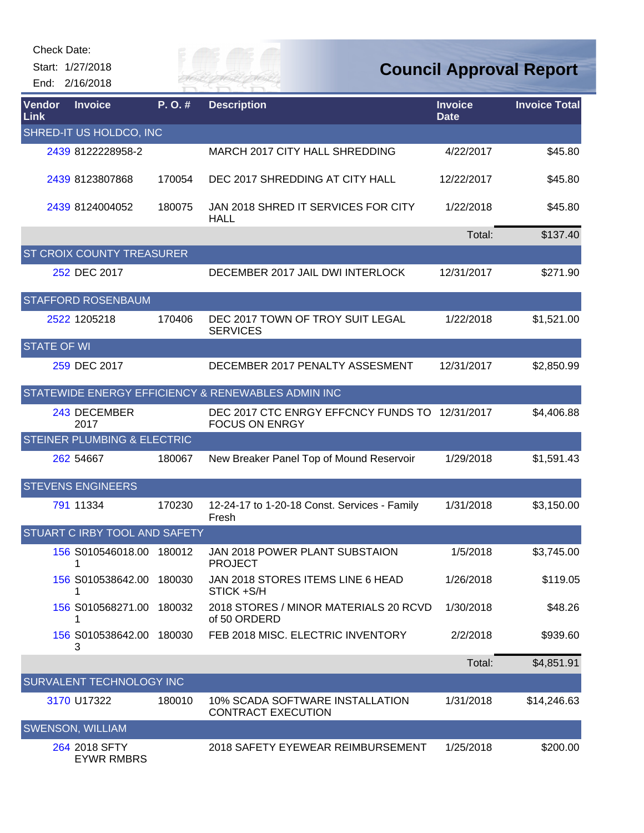|                          | Start: 1/27/2018<br>End: 2/16/2018   |        | City of<br>ER FAI                                                       |                               | <b>Council Approval Report</b> |  |
|--------------------------|--------------------------------------|--------|-------------------------------------------------------------------------|-------------------------------|--------------------------------|--|
| Vendor<br>Link           | <b>Invoice</b>                       | P.O.#  | <b>Description</b>                                                      | <b>Invoice</b><br><b>Date</b> | <b>Invoice Total</b>           |  |
|                          | SHRED-IT US HOLDCO, INC              |        |                                                                         |                               |                                |  |
|                          | 2439 8122228958-2                    |        | MARCH 2017 CITY HALL SHREDDING                                          | 4/22/2017                     | \$45.80                        |  |
|                          | 2439 8123807868                      | 170054 | DEC 2017 SHREDDING AT CITY HALL                                         | 12/22/2017                    | \$45.80                        |  |
|                          | 2439 8124004052                      | 180075 | JAN 2018 SHRED IT SERVICES FOR CITY<br><b>HALL</b>                      | 1/22/2018                     | \$45.80                        |  |
|                          |                                      |        |                                                                         | Total:                        | \$137.40                       |  |
|                          | <b>ST CROIX COUNTY TREASURER</b>     |        |                                                                         |                               |                                |  |
|                          | 252 DEC 2017                         |        | DECEMBER 2017 JAIL DWI INTERLOCK                                        | 12/31/2017                    | \$271.90                       |  |
|                          | <b>STAFFORD ROSENBAUM</b>            |        |                                                                         |                               |                                |  |
|                          | 2522 1205218                         | 170406 | DEC 2017 TOWN OF TROY SUIT LEGAL<br><b>SERVICES</b>                     | 1/22/2018                     | \$1,521.00                     |  |
| <b>STATE OF WI</b>       |                                      |        |                                                                         |                               |                                |  |
|                          | 259 DEC 2017                         |        | DECEMBER 2017 PENALTY ASSESMENT                                         | 12/31/2017                    | \$2,850.99                     |  |
|                          |                                      |        | STATEWIDE ENERGY EFFICIENCY & RENEWABLES ADMIN INC                      |                               |                                |  |
|                          | 243 DECEMBER<br>2017                 |        | DEC 2017 CTC ENRGY EFFCNCY FUNDS TO 12/31/2017<br><b>FOCUS ON ENRGY</b> |                               | \$4,406.88                     |  |
|                          | STEINER PLUMBING & ELECTRIC          |        |                                                                         |                               |                                |  |
|                          | 262 54667                            | 180067 | New Breaker Panel Top of Mound Reservoir                                | 1/29/2018                     | \$1,591.43                     |  |
|                          | <b>STEVENS ENGINEERS</b>             |        |                                                                         |                               |                                |  |
|                          | 791 11334                            | 170230 | 12-24-17 to 1-20-18 Const. Services - Family<br>Fresh                   | 1/31/2018                     | \$3,150.00                     |  |
|                          | <b>STUART C IRBY TOOL AND SAFETY</b> |        |                                                                         |                               |                                |  |
|                          | 156 S010546018.00                    | 180012 | JAN 2018 POWER PLANT SUBSTAION<br><b>PROJECT</b>                        | 1/5/2018                      | \$3,745.00                     |  |
|                          | 156 S010538642.00<br>1               | 180030 | JAN 2018 STORES ITEMS LINE 6 HEAD<br>STICK +S/H                         | 1/26/2018                     | \$119.05                       |  |
|                          | 156 S010568271.00<br>1               | 180032 | 2018 STORES / MINOR MATERIALS 20 RCVD<br>of 50 ORDERD                   | 1/30/2018                     | \$48.26                        |  |
|                          | 156 S010538642.00<br>3               | 180030 | FEB 2018 MISC. ELECTRIC INVENTORY                                       | 2/2/2018                      | \$939.60                       |  |
|                          |                                      |        |                                                                         | Total:                        | \$4,851.91                     |  |
| SURVALENT TECHNOLOGY INC |                                      |        |                                                                         |                               |                                |  |
|                          | 3170 U17322                          | 180010 | 10% SCADA SOFTWARE INSTALLATION<br><b>CONTRACT EXECUTION</b>            | 1/31/2018                     | \$14,246.63                    |  |
|                          | <b>SWENSON, WILLIAM</b>              |        |                                                                         |                               |                                |  |
|                          | 264 2018 SFTY<br><b>EYWR RMBRS</b>   |        | 2018 SAFETY EYEWEAR REIMBURSEMENT                                       | 1/25/2018                     | \$200.00                       |  |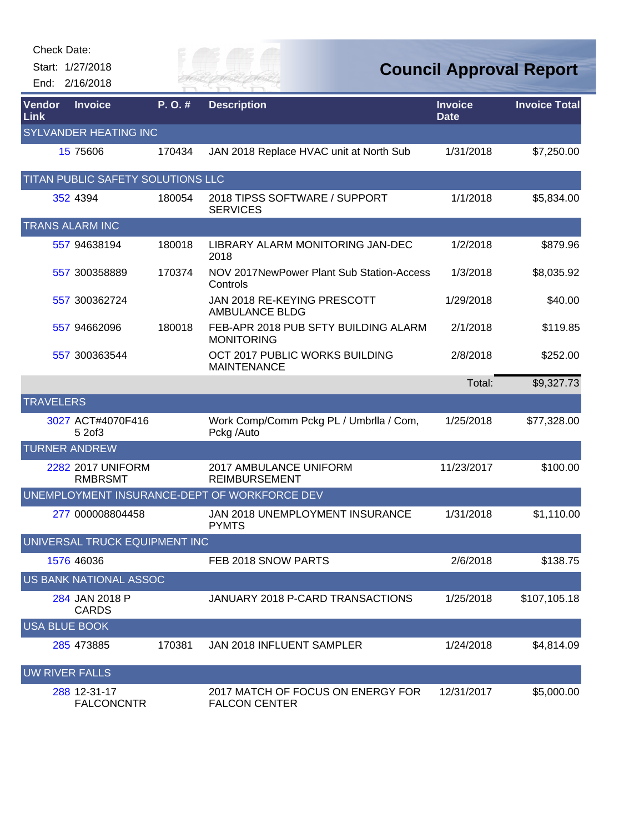| Check Date:      |  |  |  |  |  |
|------------------|--|--|--|--|--|
| Start: 1/27/2018 |  |  |  |  |  |
| End: 2/16/2018   |  |  |  |  |  |
|                  |  |  |  |  |  |

| טווסטו <i>ו</i> טמוס. |                                     |        |                                                           |                               |                                |
|-----------------------|-------------------------------------|--------|-----------------------------------------------------------|-------------------------------|--------------------------------|
|                       | Start: 1/27/2018                    |        | CP F                                                      |                               | <b>Council Approval Report</b> |
|                       | End: 2/16/2018                      |        | <b><i>TER FAI</i></b>                                     |                               |                                |
| Vendor<br><b>Link</b> | <b>Invoice</b>                      | P.O.#  | <b>Description</b>                                        | <b>Invoice</b><br><b>Date</b> | <b>Invoice Total</b>           |
|                       | <b>SYLVANDER HEATING INC</b>        |        |                                                           |                               |                                |
|                       | 15 75 60 6                          | 170434 | JAN 2018 Replace HVAC unit at North Sub                   | 1/31/2018                     | \$7,250.00                     |
|                       | TITAN PUBLIC SAFETY SOLUTIONS LLC   |        |                                                           |                               |                                |
|                       | 352 4394                            | 180054 | 2018 TIPSS SOFTWARE / SUPPORT<br><b>SERVICES</b>          | 1/1/2018                      | \$5,834.00                     |
|                       | <b>TRANS ALARM INC</b>              |        |                                                           |                               |                                |
|                       | 557 94638194                        | 180018 | LIBRARY ALARM MONITORING JAN-DEC<br>2018                  | 1/2/2018                      | \$879.96                       |
|                       | 557 300358889                       | 170374 | NOV 2017NewPower Plant Sub Station-Access<br>Controls     | 1/3/2018                      | \$8,035.92                     |
|                       | 557 300362724                       |        | JAN 2018 RE-KEYING PRESCOTT<br><b>AMBULANCE BLDG</b>      | 1/29/2018                     | \$40.00                        |
|                       | 557 94662096                        | 180018 | FEB-APR 2018 PUB SFTY BUILDING ALARM<br><b>MONITORING</b> | 2/1/2018                      | \$119.85                       |
|                       | 557 300363544                       |        | OCT 2017 PUBLIC WORKS BUILDING<br><b>MAINTENANCE</b>      | 2/8/2018                      | \$252.00                       |
|                       |                                     |        |                                                           | Total:                        | \$9,327.73                     |
| <b>TRAVELERS</b>      |                                     |        |                                                           |                               |                                |
|                       | 3027 ACT#4070F416<br>5 2of3         |        | Work Comp/Comm Pckg PL / Umbrila / Com,<br>Pckg /Auto     | 1/25/2018                     | \$77,328.00                    |
|                       | <b>TURNER ANDREW</b>                |        |                                                           |                               |                                |
|                       | 2282 2017 UNIFORM<br><b>RMBRSMT</b> |        | 2017 AMBULANCE UNIFORM<br><b>REIMBURSEMENT</b>            | 11/23/2017                    | \$100.00                       |
|                       |                                     |        | UNEMPLOYMENT INSURANCE-DEPT OF WORKFORCE DEV              |                               |                                |
|                       | 277 000008804458                    |        | JAN 2018 UNEMPLOYMENT INSURANCE<br><b>PYMTS</b>           | 1/31/2018                     | \$1,110.00                     |
|                       | UNIVERSAL TRUCK EQUIPMENT INC       |        |                                                           |                               |                                |
|                       | 1576 46036                          |        | FEB 2018 SNOW PARTS                                       | 2/6/2018                      | \$138.75                       |
|                       | US BANK NATIONAL ASSOC              |        |                                                           |                               |                                |
|                       | 284 JAN 2018 P<br><b>CARDS</b>      |        | JANUARY 2018 P-CARD TRANSACTIONS                          | 1/25/2018                     | \$107,105.18                   |
| <b>USA BLUE BOOK</b>  |                                     |        |                                                           |                               |                                |
|                       | 285 473885                          | 170381 | JAN 2018 INFLUENT SAMPLER                                 | 1/24/2018                     | \$4,814.09                     |
| <b>UW RIVER FALLS</b> |                                     |        |                                                           |                               |                                |
|                       | 288 12-31-17<br><b>FALCONCNTR</b>   |        | 2017 MATCH OF FOCUS ON ENERGY FOR<br><b>FALCON CENTER</b> | 12/31/2017                    | \$5,000.00                     |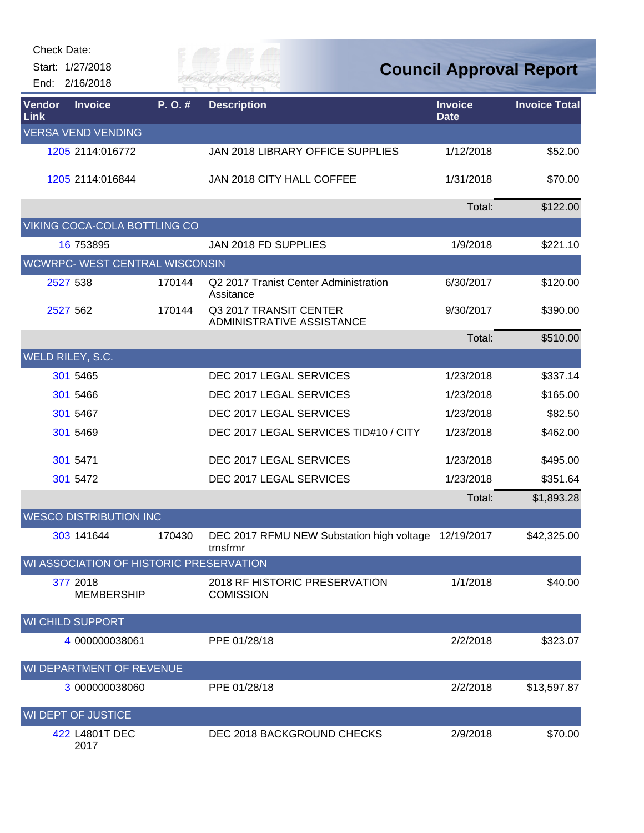|                                         | Start: 1/27/2018<br>End: 2/16/2018 |        |                                                                  | <b>Council Approval Report</b> |                      |  |
|-----------------------------------------|------------------------------------|--------|------------------------------------------------------------------|--------------------------------|----------------------|--|
| Vendor<br>Link                          | <b>Invoice</b>                     | P.O.#  | <b>Description</b>                                               | <b>Invoice</b><br><b>Date</b>  | <b>Invoice Total</b> |  |
|                                         | <b>VERSA VEND VENDING</b>          |        |                                                                  |                                |                      |  |
|                                         | 1205 2114:016772                   |        | JAN 2018 LIBRARY OFFICE SUPPLIES                                 | 1/12/2018                      | \$52.00              |  |
|                                         | 1205 2114:016844                   |        | JAN 2018 CITY HALL COFFEE                                        | 1/31/2018                      | \$70.00              |  |
|                                         |                                    |        |                                                                  | Total:                         | \$122.00             |  |
|                                         | VIKING COCA-COLA BOTTLING CO       |        |                                                                  |                                |                      |  |
|                                         | 16 753895                          |        | JAN 2018 FD SUPPLIES                                             | 1/9/2018                       | \$221.10             |  |
|                                         | WCWRPC- WEST CENTRAL WISCONSIN     |        |                                                                  |                                |                      |  |
|                                         | 2527 538                           | 170144 | Q2 2017 Tranist Center Administration<br>Assitance               | 6/30/2017                      | \$120.00             |  |
|                                         | 2527 562                           | 170144 | Q3 2017 TRANSIT CENTER<br>ADMINISTRATIVE ASSISTANCE              | 9/30/2017                      | \$390.00             |  |
|                                         |                                    |        |                                                                  | Total:                         | \$510.00             |  |
|                                         | WELD RILEY, S.C.                   |        |                                                                  |                                |                      |  |
|                                         | 301 5465                           |        | DEC 2017 LEGAL SERVICES                                          | 1/23/2018                      | \$337.14             |  |
|                                         | 301 5466                           |        | DEC 2017 LEGAL SERVICES                                          | 1/23/2018                      | \$165.00             |  |
|                                         | 301 5467                           |        | DEC 2017 LEGAL SERVICES                                          | 1/23/2018                      | \$82.50              |  |
|                                         | 301 5469                           |        | DEC 2017 LEGAL SERVICES TID#10 / CITY                            | 1/23/2018                      | \$462.00             |  |
|                                         | 301 5471                           |        | DEC 2017 LEGAL SERVICES                                          | 1/23/2018                      | \$495.00             |  |
|                                         | 301 5472                           |        | DEC 2017 LEGAL SERVICES                                          | 1/23/2018                      | \$351.64             |  |
|                                         |                                    |        |                                                                  | Total:                         | \$1,893.28           |  |
|                                         | <b>WESCO DISTRIBUTION INC</b>      |        |                                                                  |                                |                      |  |
|                                         | 303 141644                         | 170430 | DEC 2017 RFMU NEW Substation high voltage 12/19/2017<br>trnsfrmr |                                | \$42,325.00          |  |
| WI ASSOCIATION OF HISTORIC PRESERVATION |                                    |        |                                                                  |                                |                      |  |
|                                         | 377 2018<br><b>MEMBERSHIP</b>      |        | 2018 RF HISTORIC PRESERVATION<br><b>COMISSION</b>                | 1/1/2018                       | \$40.00              |  |
|                                         | <b>WI CHILD SUPPORT</b>            |        |                                                                  |                                |                      |  |
|                                         | 4 000000038061                     |        | PPE 01/28/18                                                     | 2/2/2018                       | \$323.07             |  |
|                                         | WI DEPARTMENT OF REVENUE           |        |                                                                  |                                |                      |  |
|                                         | 3 000000038060                     |        | PPE 01/28/18                                                     | 2/2/2018                       | \$13,597.87          |  |
|                                         | WI DEPT OF JUSTICE                 |        |                                                                  |                                |                      |  |
|                                         | 422 L4801T DEC<br>2017             |        | DEC 2018 BACKGROUND CHECKS                                       | 2/9/2018                       | \$70.00              |  |